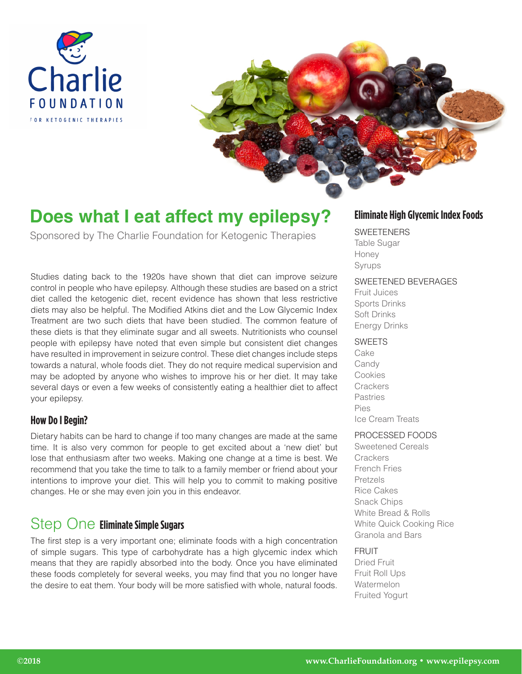



# **Does what I eat affect my epilepsy?**

Sponsored by The Charlie Foundation for Ketogenic Therapies

Studies dating back to the 1920s have shown that diet can improve seizure control in people who have epilepsy. Although these studies are based on a strict diet called the ketogenic diet, recent evidence has shown that less restrictive diets may also be helpful. The Modified Atkins diet and the Low Glycemic Index Treatment are two such diets that have been studied. The common feature of these diets is that they eliminate sugar and all sweets. Nutritionists who counsel people with epilepsy have noted that even simple but consistent diet changes have resulted in improvement in seizure control. These diet changes include steps towards a natural, whole foods diet. They do not require medical supervision and may be adopted by anyone who wishes to improve his or her diet. It may take several days or even a few weeks of consistently eating a healthier diet to affect your epilepsy.

### **How Do I Begin?**

Dietary habits can be hard to change if too many changes are made at the same time. It is also very common for people to get excited about a 'new diet' but lose that enthusiasm after two weeks. Making one change at a time is best. We recommend that you take the time to talk to a family member or friend about your intentions to improve your diet. This will help you to commit to making positive changes. He or she may even join you in this endeavor.

## Step One **Eliminate Simple Sugars**

The first step is a very important one; eliminate foods with a high concentration of simple sugars. This type of carbohydrate has a high glycemic index which means that they are rapidly absorbed into the body. Once you have eliminated these foods completely for several weeks, you may find that you no longer have the desire to eat them. Your body will be more satisfied with whole, natural foods.

### **Eliminate High Glycemic Index Foods**

### **SWEETENERS**

Table Sugar Honey Syrups

### SWEETENED BEVERAGES

Fruit Juices Sports Drinks Soft Drinks Energy Drinks

### SWEETS

Cake **Candy** Cookies **Crackers** Pastries Pies Ice Cream Treats

### PROCESSED FOODS

Sweetened Cereals **Crackers** French Fries Pretzels Rice Cakes Snack Chips White Bread & Rolls White Quick Cooking Rice Granola and Bars

### **FRUIT**

Dried Fruit Fruit Roll Ups Watermelon Fruited Yogurt